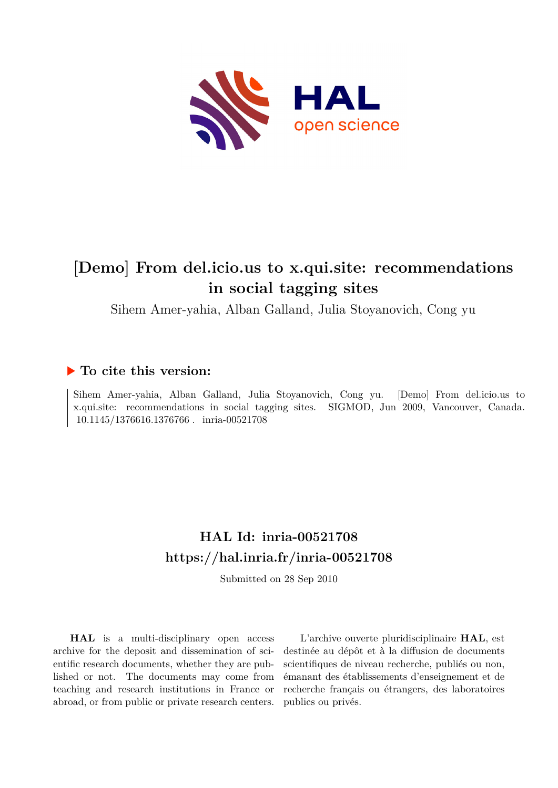

# **[Demo] From del.icio.us to x.qui.site: recommendations in social tagging sites**

Sihem Amer-yahia, Alban Galland, Julia Stoyanovich, Cong yu

### **To cite this version:**

Sihem Amer-yahia, Alban Galland, Julia Stoyanovich, Cong yu. [Demo] From del.icio.us to x.qui.site: recommendations in social tagging sites. SIGMOD, Jun 2009, Vancouver, Canada. 10.1145/1376616.1376766. inria-00521708

# **HAL Id: inria-00521708 <https://hal.inria.fr/inria-00521708>**

Submitted on 28 Sep 2010

**HAL** is a multi-disciplinary open access archive for the deposit and dissemination of scientific research documents, whether they are published or not. The documents may come from teaching and research institutions in France or abroad, or from public or private research centers.

L'archive ouverte pluridisciplinaire **HAL**, est destinée au dépôt et à la diffusion de documents scientifiques de niveau recherche, publiés ou non, émanant des établissements d'enseignement et de recherche français ou étrangers, des laboratoires publics ou privés.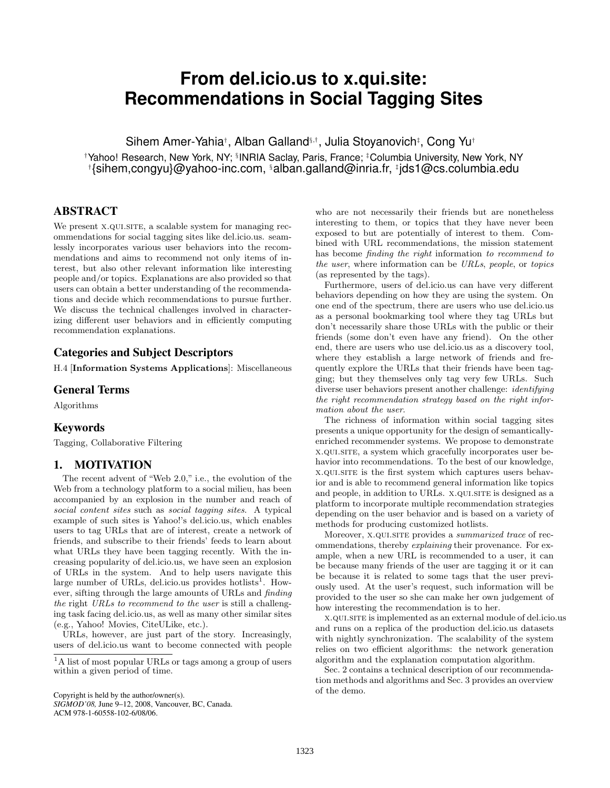## **From del.icio.us to x.qui.site: Recommendations in Social Tagging Sites**

Sihem Amer-Yahia<sup>†</sup>, Alban Galland<sup>§,†</sup>, Julia Stoyanovich<sup>‡</sup>, Cong Yu<sup>†</sup>

†Yahoo! Research, New York, NY; §INRIA Saclay, Paris, France; ‡Columbia University, New York, NY †{sihem,congyu}@yahoo-inc.com, §alban.galland@inria.fr, ‡jds1@cs.columbia.edu

### ABSTRACT

We present x.qui.site, a scalable system for managing recommendations for social tagging sites like del.icio.us. seamlessly incorporates various user behaviors into the recommendations and aims to recommend not only items of interest, but also other relevant information like interesting people and/or topics. Explanations are also provided so that users can obtain a better understanding of the recommendations and decide which recommendations to pursue further. We discuss the technical challenges involved in characterizing different user behaviors and in efficiently computing recommendation explanations.

#### Categories and Subject Descriptors

H.4 [Information Systems Applications]: Miscellaneous

#### General Terms

Algorithms

#### Keywords

Tagging, Collaborative Filtering

#### 1. MOTIVATION

The recent advent of "Web 2.0," i.e., the evolution of the Web from a technology platform to a social milieu, has been accompanied by an explosion in the number and reach of social content sites such as social tagging sites. A typical example of such sites is Yahoo!'s del.icio.us, which enables users to tag URLs that are of interest, create a network of friends, and subscribe to their friends' feeds to learn about what URLs they have been tagging recently. With the increasing popularity of del.icio.us, we have seen an explosion of URLs in the system. And to help users navigate this large number of URLs, del.icio.us provides hotlists<sup>1</sup>. However, sifting through the large amounts of URLs and finding the right URLs to recommend to the user is still a challenging task facing del.icio.us, as well as many other similar sites (e.g., Yahoo! Movies, CiteULike, etc.).

URLs, however, are just part of the story. Increasingly, users of del.icio.us want to become connected with people

Copyright is held by the author/owner(s).

*SIGMOD'08,* June 9–12, 2008, Vancouver, BC, Canada. ACM 978-1-60558-102-6/08/06.

who are not necessarily their friends but are nonetheless interesting to them, or topics that they have never been exposed to but are potentially of interest to them. Combined with URL recommendations, the mission statement has become finding the right information to recommend to the user, where information can be URLs, people, or topics (as represented by the tags).

Furthermore, users of del.icio.us can have very different behaviors depending on how they are using the system. On one end of the spectrum, there are users who use del.icio.us as a personal bookmarking tool where they tag URLs but don't necessarily share those URLs with the public or their friends (some don't even have any friend). On the other end, there are users who use del.icio.us as a discovery tool, where they establish a large network of friends and frequently explore the URLs that their friends have been tagging; but they themselves only tag very few URLs. Such diverse user behaviors present another challenge: identifying the right recommendation strategy based on the right information about the user.

The richness of information within social tagging sites presents a unique opportunity for the design of semanticallyenriched recommender systems. We propose to demonstrate x.qui.site, a system which gracefully incorporates user behavior into recommendations. To the best of our knowledge, x.qui.site is the first system which captures users behavior and is able to recommend general information like topics and people, in addition to URLs. X.QUI.SITE is designed as a platform to incorporate multiple recommendation strategies depending on the user behavior and is based on a variety of methods for producing customized hotlists.

Moreover, X.QUI.SITE provides a summarized trace of recommendations, thereby explaining their provenance. For example, when a new URL is recommended to a user, it can be because many friends of the user are tagging it or it can be because it is related to some tags that the user previously used. At the user's request, such information will be provided to the user so she can make her own judgement of how interesting the recommendation is to her.

x.qui.site is implemented as an external module of del.icio.us and runs on a replica of the production del.icio.us datasets with nightly synchronization. The scalability of the system relies on two efficient algorithms: the network generation algorithm and the explanation computation algorithm.

Sec. 2 contains a technical description of our recommendation methods and algorithms and Sec. 3 provides an overview of the demo.

<sup>1</sup>A list of most popular URLs or tags among a group of users within a given period of time.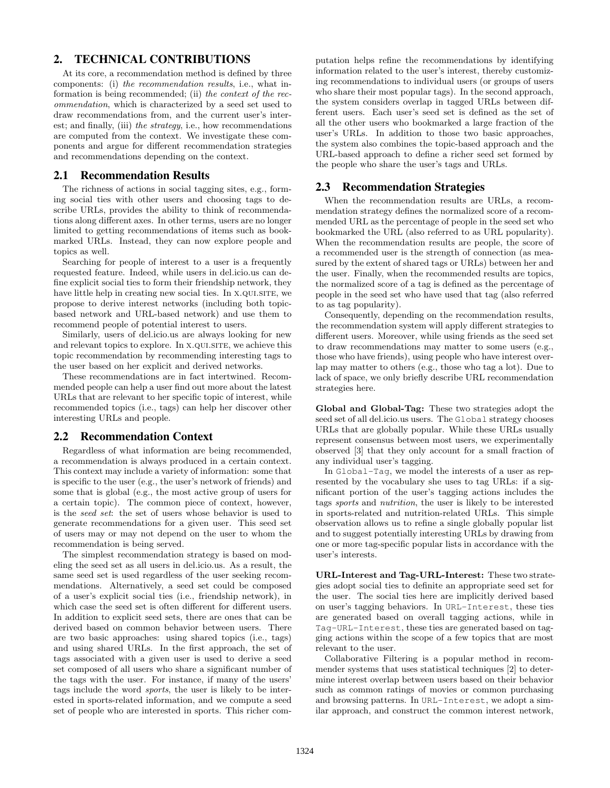#### 2. TECHNICAL CONTRIBUTIONS

At its core, a recommendation method is defined by three components: (i) the recommendation results, i.e., what information is being recommended; (ii) the context of the recommendation, which is characterized by a seed set used to draw recommendations from, and the current user's interest; and finally, (iii) the strategy, i.e., how recommendations are computed from the context. We investigate these components and argue for different recommendation strategies and recommendations depending on the context.

#### 2.1 Recommendation Results

The richness of actions in social tagging sites, e.g., forming social ties with other users and choosing tags to describe URLs, provides the ability to think of recommendations along different axes. In other terms, users are no longer limited to getting recommendations of items such as bookmarked URLs. Instead, they can now explore people and topics as well.

Searching for people of interest to a user is a frequently requested feature. Indeed, while users in del.icio.us can define explicit social ties to form their friendship network, they have little help in creating new social ties. In X.QUI.SITE, we propose to derive interest networks (including both topicbased network and URL-based network) and use them to recommend people of potential interest to users.

Similarly, users of del.icio.us are always looking for new and relevant topics to explore. In X.QUI.SITE, we achieve this topic recommendation by recommending interesting tags to the user based on her explicit and derived networks.

These recommendations are in fact intertwined. Recommended people can help a user find out more about the latest URLs that are relevant to her specific topic of interest, while recommended topics (i.e., tags) can help her discover other interesting URLs and people.

#### 2.2 Recommendation Context

Regardless of what information are being recommended, a recommendation is always produced in a certain context. This context may include a variety of information: some that is specific to the user (e.g., the user's network of friends) and some that is global (e.g., the most active group of users for a certain topic). The common piece of context, however, is the seed set: the set of users whose behavior is used to generate recommendations for a given user. This seed set of users may or may not depend on the user to whom the recommendation is being served.

The simplest recommendation strategy is based on modeling the seed set as all users in del.icio.us. As a result, the same seed set is used regardless of the user seeking recommendations. Alternatively, a seed set could be composed of a user's explicit social ties (i.e., friendship network), in which case the seed set is often different for different users. In addition to explicit seed sets, there are ones that can be derived based on common behavior between users. There are two basic approaches: using shared topics (i.e., tags) and using shared URLs. In the first approach, the set of tags associated with a given user is used to derive a seed set composed of all users who share a significant number of the tags with the user. For instance, if many of the users' tags include the word sports, the user is likely to be interested in sports-related information, and we compute a seed set of people who are interested in sports. This richer computation helps refine the recommendations by identifying information related to the user's interest, thereby customizing recommendations to individual users (or groups of users who share their most popular tags). In the second approach, the system considers overlap in tagged URLs between different users. Each user's seed set is defined as the set of all the other users who bookmarked a large fraction of the user's URLs. In addition to those two basic approaches, the system also combines the topic-based approach and the URL-based approach to define a richer seed set formed by the people who share the user's tags and URLs.

#### 2.3 Recommendation Strategies

When the recommendation results are URLs, a recommendation strategy defines the normalized score of a recommended URL as the percentage of people in the seed set who bookmarked the URL (also referred to as URL popularity). When the recommendation results are people, the score of a recommended user is the strength of connection (as measured by the extent of shared tags or URLs) between her and the user. Finally, when the recommended results are topics, the normalized score of a tag is defined as the percentage of people in the seed set who have used that tag (also referred to as tag popularity).

Consequently, depending on the recommendation results, the recommendation system will apply different strategies to different users. Moreover, while using friends as the seed set to draw recommendations may matter to some users (e.g., those who have friends), using people who have interest overlap may matter to others (e.g., those who tag a lot). Due to lack of space, we only briefly describe URL recommendation strategies here.

Global and Global-Tag: These two strategies adopt the seed set of all del.icio.us users. The Global strategy chooses URLs that are globally popular. While these URLs usually represent consensus between most users, we experimentally observed [3] that they only account for a small fraction of any individual user's tagging.

In Global-Tag, we model the interests of a user as represented by the vocabulary she uses to tag URLs: if a significant portion of the user's tagging actions includes the tags sports and nutrition, the user is likely to be interested in sports-related and nutrition-related URLs. This simple observation allows us to refine a single globally popular list and to suggest potentially interesting URLs by drawing from one or more tag-specific popular lists in accordance with the user's interests.

URL-Interest and Tag-URL-Interest: These two strategies adopt social ties to definite an appropriate seed set for the user. The social ties here are implicitly derived based on user's tagging behaviors. In URL-Interest, these ties are generated based on overall tagging actions, while in Tag-URL-Interest, these ties are generated based on tagging actions within the scope of a few topics that are most relevant to the user.

Collaborative Filtering is a popular method in recommender systems that uses statistical techniques [2] to determine interest overlap between users based on their behavior such as common ratings of movies or common purchasing and browsing patterns. In URL-Interest, we adopt a similar approach, and construct the common interest network,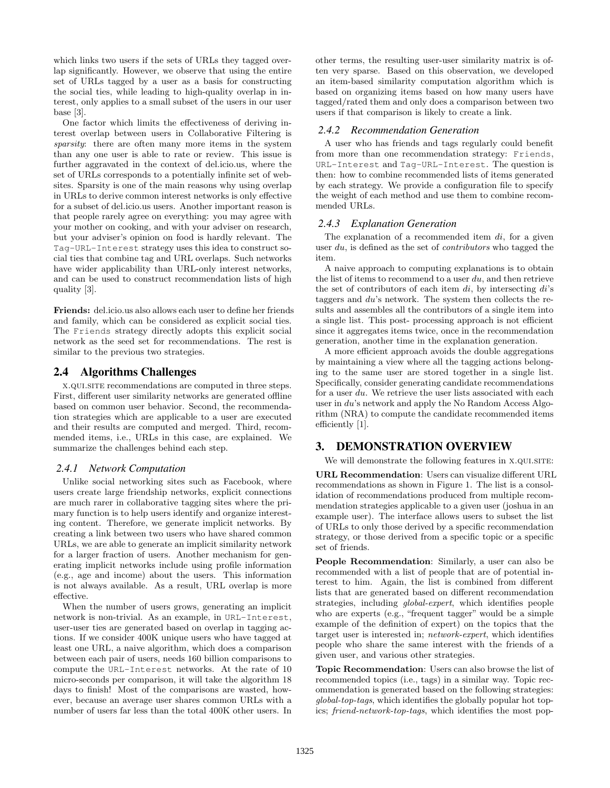which links two users if the sets of URLs they tagged overlap significantly. However, we observe that using the entire set of URLs tagged by a user as a basis for constructing the social ties, while leading to high-quality overlap in interest, only applies to a small subset of the users in our user base [3].

One factor which limits the effectiveness of deriving interest overlap between users in Collaborative Filtering is sparsity: there are often many more items in the system than any one user is able to rate or review. This issue is further aggravated in the context of del.icio.us, where the set of URLs corresponds to a potentially infinite set of websites. Sparsity is one of the main reasons why using overlap in URLs to derive common interest networks is only effective for a subset of del.icio.us users. Another important reason is that people rarely agree on everything: you may agree with your mother on cooking, and with your adviser on research, but your adviser's opinion on food is hardly relevant. The Tag-URL-Interest strategy uses this idea to construct social ties that combine tag and URL overlaps. Such networks have wider applicability than URL-only interest networks, and can be used to construct recommendation lists of high quality [3].

Friends: del.icio.us also allows each user to define her friends and family, which can be considered as explicit social ties. The Friends strategy directly adopts this explicit social network as the seed set for recommendations. The rest is similar to the previous two strategies.

#### 2.4 Algorithms Challenges

x.qui.site recommendations are computed in three steps. First, different user similarity networks are generated offline based on common user behavior. Second, the recommendation strategies which are applicable to a user are executed and their results are computed and merged. Third, recommended items, i.e., URLs in this case, are explained. We summarize the challenges behind each step.

#### *2.4.1 Network Computation*

Unlike social networking sites such as Facebook, where users create large friendship networks, explicit connections are much rarer in collaborative tagging sites where the primary function is to help users identify and organize interesting content. Therefore, we generate implicit networks. By creating a link between two users who have shared common URLs, we are able to generate an implicit similarity network for a larger fraction of users. Another mechanism for generating implicit networks include using profile information (e.g., age and income) about the users. This information is not always available. As a result, URL overlap is more effective.

When the number of users grows, generating an implicit network is non-trivial. As an example, in URL-Interest, user-user ties are generated based on overlap in tagging actions. If we consider 400K unique users who have tagged at least one URL, a naive algorithm, which does a comparison between each pair of users, needs 160 billion comparisons to compute the URL-Interest networks. At the rate of 10 micro-seconds per comparison, it will take the algorithm 18 days to finish! Most of the comparisons are wasted, however, because an average user shares common URLs with a number of users far less than the total 400K other users. In

other terms, the resulting user-user similarity matrix is often very sparse. Based on this observation, we developed an item-based similarity computation algorithm which is based on organizing items based on how many users have tagged/rated them and only does a comparison between two users if that comparison is likely to create a link.

#### *2.4.2 Recommendation Generation*

A user who has friends and tags regularly could benefit from more than one recommendation strategy: Friends, URL-Interest and Tag-URL-Interest. The question is then: how to combine recommended lists of items generated by each strategy. We provide a configuration file to specify the weight of each method and use them to combine recommended URLs.

#### *2.4.3 Explanation Generation*

The explanation of a recommended item  $di$ , for a given user du, is defined as the set of contributors who tagged the item.

A naive approach to computing explanations is to obtain the list of items to recommend to a user  $du$ , and then retrieve the set of contributors of each item  $di$ , by intersecting  $di$ 's taggers and du's network. The system then collects the results and assembles all the contributors of a single item into a single list. This post- processing approach is not efficient since it aggregates items twice, once in the recommendation generation, another time in the explanation generation.

A more efficient approach avoids the double aggregations by maintaining a view where all the tagging actions belonging to the same user are stored together in a single list. Specifically, consider generating candidate recommendations for a user du. We retrieve the user lists associated with each user in du's network and apply the No Random Access Algorithm (NRA) to compute the candidate recommended items efficiently [1].

#### 3. DEMONSTRATION OVERVIEW

We will demonstrate the following features in X.QUI.SITE:

URL Recommendation: Users can visualize different URL recommendations as shown in Figure 1. The list is a consolidation of recommendations produced from multiple recommendation strategies applicable to a given user (joshua in an example user). The interface allows users to subset the list of URLs to only those derived by a specific recommendation strategy, or those derived from a specific topic or a specific set of friends.

People Recommendation: Similarly, a user can also be recommended with a list of people that are of potential interest to him. Again, the list is combined from different lists that are generated based on different recommendation strategies, including global-expert, which identifies people who are experts (e.g., "frequent tagger" would be a simple example of the definition of expert) on the topics that the target user is interested in; network-expert, which identifies people who share the same interest with the friends of a given user, and various other strategies.

Topic Recommendation: Users can also browse the list of recommended topics (i.e., tags) in a similar way. Topic recommendation is generated based on the following strategies: global-top-tags, which identifies the globally popular hot topics; friend-network-top-tags, which identifies the most pop-